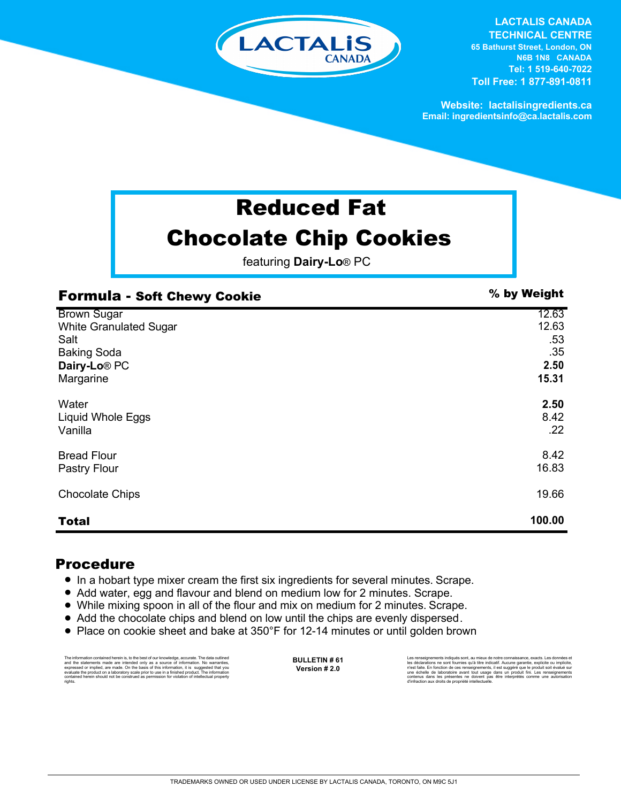

**LACTALIS CANADA TECHNICAL CENTRE 65 Bathurst Street, London, ON N6B 1N8 CANADA Tel: 1 519-640-7022 Toll Free: 1 877-891-0811**

**Website: lactalisingredients.ca Email: ingredientsinfo@ca.lactalis.com**

## Reduced Fat Chocolate Chip Cookies

featuring **Dairy-Lo**® PC

| <b>Formula - Soft Chewy Cookie</b> | % by Weight |
|------------------------------------|-------------|
| <b>Brown Sugar</b>                 | 12.63       |
| <b>White Granulated Sugar</b>      | 12.63       |
| Salt                               | .53         |
| <b>Baking Soda</b>                 | .35         |
| Dairy-Lo <sup>®</sup> PC           | 2.50        |
| Margarine                          | 15.31       |
| Water                              | 2.50        |
| Liquid Whole Eggs                  | 8.42        |
| Vanilla                            | .22         |
| <b>Bread Flour</b>                 | 8.42        |
| Pastry Flour                       | 16.83       |
| <b>Chocolate Chips</b>             | 19.66       |
| <b>Total</b>                       | 100.00      |

## Procedure

- = In a hobart type mixer cream the first six ingredients for several minutes. Scrape.
- Add water, egg and flavour and blend on medium low for 2 minutes. Scrape.
- While mixing spoon in all of the flour and mix on medium for 2 minutes. Scrape.
- Add the chocolate chips and blend on low until the chips are evenly dispersed.
- Place on cookie sheet and bake at 350°F for 12-14 minutes or until golden brown

The information contained herein is, to the best of our knowledge, accurate. The data cutlined the statements made are intended only as a source of information. No warranties, expressed or implied, are made. On the basis o

**BULLETIN # 61 Version # 2.0**

Les rensejonements indiqués sont, au mieux de notre connaissance, exacts. Les données et<br>les déclarations ne sont fournies qu'à titre indicatif. Aucune garantie, explicite ou implicite,<br>riest faite. En fonction de ces rens